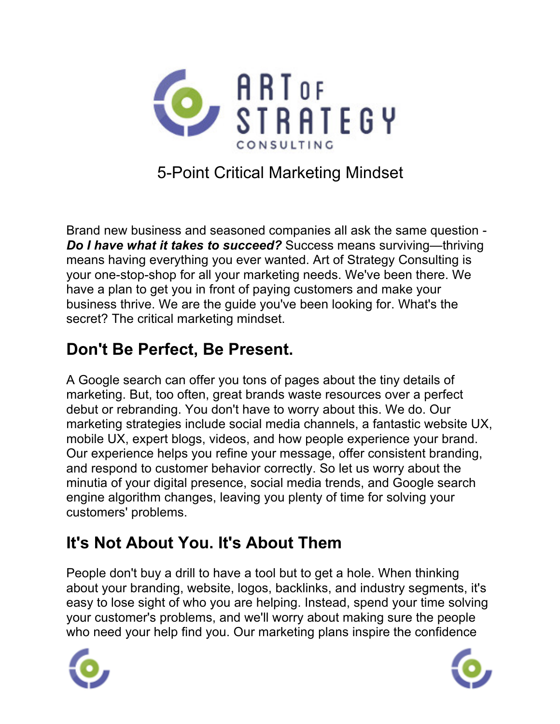

#### 5-Point Critical Marketing Mindset

Brand new business and seasoned companies all ask the same question - *Do I have what it takes to succeed?* Success means surviving—thriving means having everything you ever wanted. Art of Strategy Consulting is your one-stop-shop for all your marketing needs. We've been there. We have a plan to get you in front of paying customers and make your business thrive. We are the guide you've been looking for. What's the secret? The critical marketing mindset.

#### **Don't Be Perfect, Be Present.**

A Google search can offer you tons of pages about the tiny details of marketing. But, too often, great brands waste resources over a perfect debut or rebranding. You don't have to worry about this. We do. Our marketing strategies include social media channels, a fantastic website UX, mobile UX, expert blogs, videos, and how people experience your brand. Our experience helps you refine your message, offer consistent branding, and respond to customer behavior correctly. So let us worry about the minutia of your digital presence, social media trends, and Google search engine algorithm changes, leaving you plenty of time for solving your customers' problems.

## **It's Not About You. It's About Them**

People don't buy a drill to have a tool but to get a hole. When thinking about your branding, website, logos, backlinks, and industry segments, it's easy to lose sight of who you are helping. Instead, spend your time solving your customer's problems, and we'll worry about making sure the people who need your help find you. Our marketing plans inspire the confidence